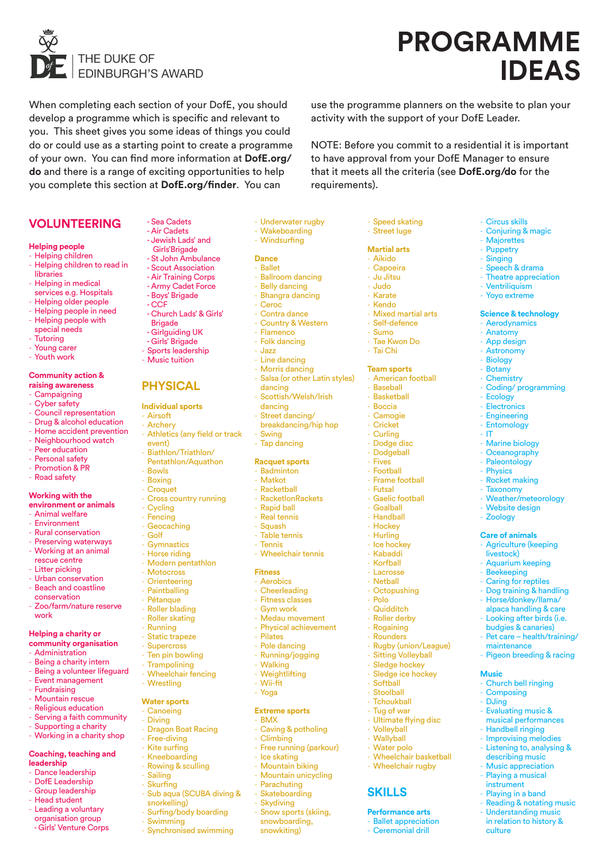

# **PROGRAMME**  THE DUKE OF<br> **IDEAS**

use the programme planners on the website to plan your

NOTE: Before you commit to a residential it is important to have approval from your DofE Manager to ensure that it meets all the criteria (see **DofE.org/do** for the

activity with the support of your DofE Leader.

- Circus skills - Conjuring & magic - Majorettes - Puppetry - Singing - Speech & drama - Theatre appreciation - Ventriliquism - Yoyo extreme

**Science & technology** - Aerodynamics - Anatomy App design - Astronomy - Biology - Botany - Chemistry

- Coding/ programming

- Ecology - Electronics - Engineering - Entomology - IT

- Marine biology Oceanography - Paleontology - Physics Rocket making **Taxonomy** - Weather/meteorology Website design **Zoology Care of animals** Agriculture (keeping

livestock) Aquarium keeping - Beekeeping - Caring for reptiles - Dog training & handling - Horse/donkey/llama/ alpaca handling & care Looking after birds (i.e. budgies & canaries) - Pet care – health/training/

maintenance

**Music**

culture

Pigeon breeding & racing

Church bell ringing - Composing - DJing

- Evaluating music & musical performances - Handbell ringing - Improvising melodies - Listening to, analysing & describing music Music appreciation - Playing a musical instrument Playing in a band - Reading & notating music Understanding music in relation to history &

When completing each section of your DofE, you should develop a programme which is specific and relevant to you. This sheet gives you some ideas of things you could do or could use as a starting point to create a programme of your own. You can find more information at **DofE.org/ do** and there is a range of exciting opportunities to help you complete this section at **DofE.org/finder**. You can

# **VOLUNTEERING**

# **Helping people**

- Helping children
- Helping children to read in libraries
- Helping in medical services e.g. Hospitals
- Helping older people
- Helping people in need
- Helping people with
- special needs
- **Tutoring**
- Young carer
- Youth work

# **Community action & raising awareness**

- **Campaigning**
- Cyber safety
- Council representation
- Drug & alcohol education
- Home accident prevention
- Neighbourhood watch
- Peer education
- Personal safety Promotion & PR
- **Road safety**

#### **Working with the environment or animals**

- Animal welfare
- **Environment**
- Rural conservation
- **Preserving waterways**
- Working at an animal
- rescue centre
- Litter picking
- Urban conservation
- Beach and coastline conservation
- Zoo/farm/nature reserve work

# **Helping a charity or**

- **community organisation**
- **Administration**
- Being a charity intern
- Being a volunteer lifeguard - Event management
- Fundraising
- Mountain rescue
- Religious education
- Serving a faith community
- Supporting a charity
- Working in a charity shop
- **Coaching, teaching and**
- **leadership**
- Dance leadership
- DofE Leadership
- Group leadership
- Head student
- Leading a voluntary organisation group - Girls' Venture Corps

Girls'Brigade

 - Sea Cadets - Air Cadets - Jewish Lads' and

- St John Ambulance
- Scout Association
- Air Training Corps
- Army Cadet Force
- Boys' Brigade
- CCF
- Church Lads' & Girls'
- **Brigade**
- Girlguiding UK
- Girls' Brigade
- Sports leadership
- Music tuition

# **PHYSICAL**

# **Individual sports**

- Airsoft

**Bowle** - Boxing - Croquet

- Cycling - Fencing - Geocaching - Golf - Gymnastics - Horse riding - Modern pentathlon - Motocross - Orienteering - Paintballing - Pétanque - Roller blading - Roller skating **Running** - Static trapeze - Supercross - Ten pin bowling Trampolining Wheelchair fencing

- Wrestling **Water sports** - Canoeing **Diving** 

- Sailing - Skurfing

snorkelling)

- Swimming

- Dragon Boat Racing - Free-diving - Kite surfing - Kneeboarding - Rowing & sculling

Sub aqua (SCUBA diving &

Surfing/body boarding

- Synchronised swimming

- Archery - Athletics (any field or track

Pentathlon/Aquathon

- Cross country running

- event) Biathlon/Triathlon/
- Tap dancing **Racquet sports**

dancing

dancing Street dancing/ breakdancing/hip hop

**Swing** 

- Underwater rugby - Wakeboarding - Windsurfing

- Speed skating - Street luge **Martial arts** - Aikido - Capoeira - Ju Jitsu - Judo - Karate - Kendo

requirements).

- Mixed martial arts - Self-defence - Sumo - Tae Kwon Do - Tai Chi **Team sports** - American football **Baseball** - Basketball - Boccia - Camogie - Cricket - Curling Dodge disc - Dodgeball - Fives - Football - Frame football **Futsal** - Gaelic football - Goalball - Handball - Hockey - Hurling - Ice hockey - Kabaddi - Korfball - Lacrosse **Nethall** - Octopushing - Polo - Quidditch Roller derby **Rogaining** - Rounders

- Rugby (union/League) **Sitting Volleyball** Sledge hockey Sledge ice hockey

- Softball - Stoolball **Tchoukball** Tug of war Ultimate flying disc

- Volleyball - Wallyball Water polo - Wheelchair basketball - Wheelchair rugby

**SKILLS**

**Performance arts Ballet appreciation** Ceremonial drill

- Ballroom dancing - Belly dancing - Bhangra dancing - Ceroc - Contra dance - Country & Western - Flamenco - Folk dancing - Jazz - Line dancing - Morris dancing

- Salsa (or other Latin styles)

- Scottish/Welsh/Irish

**Dance** - Ballet

- Badminton
- Matkot
- Racketball
- RacketlonRackets
- Rapid ball
- Real tennis
- **Squash**
- Table tennis - Tennis
	- Wheelchair tennis

# **Fitness**

- Aerobics
- Cheerleading
- Fitness classes
- Gym work - Medau movement
- Physical achievement
- Pilates
- Pole dancing
- Running/jogging
- Walking
- Weightlifting - Wii-fit
	- Yoga
	-

# **Extreme sports**

- BMX - Caving & potholing
- Climbing

- Mountain biking - Mountain unicycling - Parachuting Skateboarding - Skydiving - Snow sports (skiing, snowboarding, snowkiting)

- Free running (parkour) - Ice skating